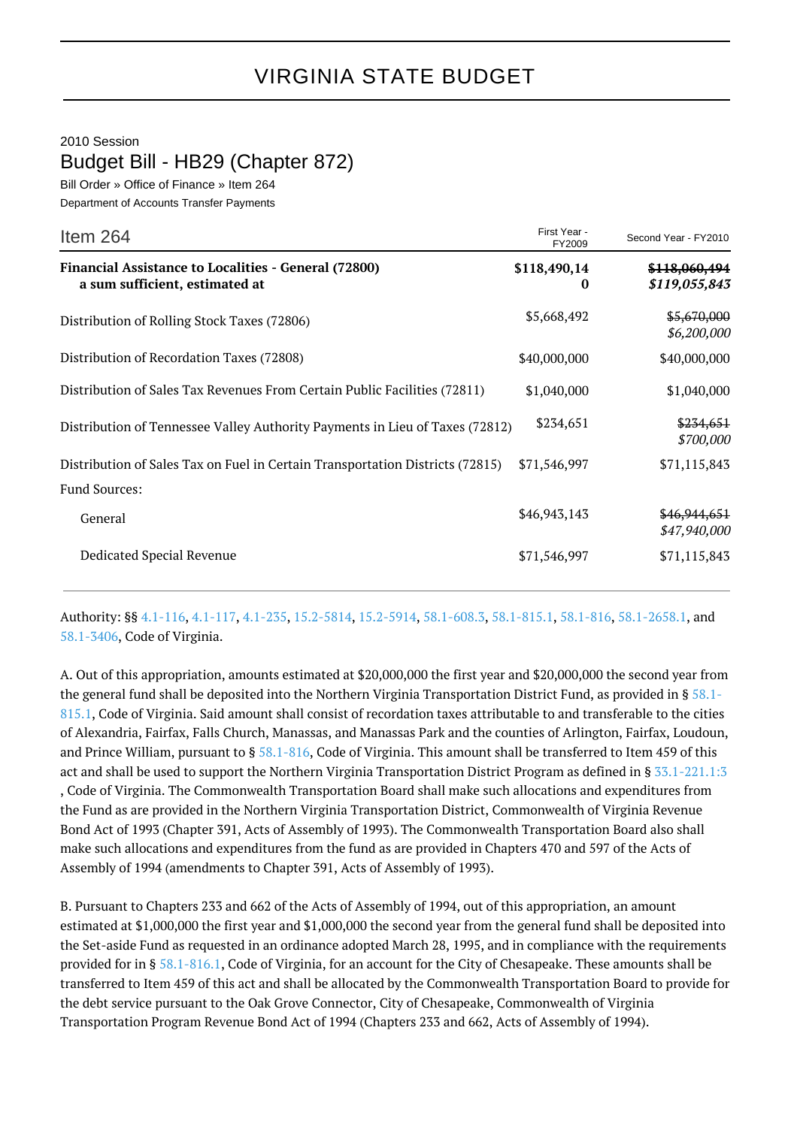2010 Session Budget Bill - HB29 (Chapter 872)

Bill Order » Office of Finance » Item 264 Department of Accounts Transfer Payments

| Item 264                                                                                      | First Year -<br>FY2009   | Second Year - FY2010           |
|-----------------------------------------------------------------------------------------------|--------------------------|--------------------------------|
| <b>Financial Assistance to Localities - General (72800)</b><br>a sum sufficient, estimated at | \$118,490,14<br>$\bf{0}$ | \$118,060,494<br>\$119,055,843 |
| Distribution of Rolling Stock Taxes (72806)                                                   | \$5,668,492              | \$5,670,000<br>\$6,200,000     |
| Distribution of Recordation Taxes (72808)                                                     | \$40,000,000             | \$40,000,000                   |
| Distribution of Sales Tax Revenues From Certain Public Facilities (72811)                     | \$1,040,000              | \$1,040,000                    |
| Distribution of Tennessee Valley Authority Payments in Lieu of Taxes (72812)                  | \$234,651                | \$234,651<br>\$700,000         |
| Distribution of Sales Tax on Fuel in Certain Transportation Districts (72815)                 | \$71,546,997             | \$71,115,843                   |
| <b>Fund Sources:</b>                                                                          |                          |                                |
| General                                                                                       | \$46,943,143             | \$46,944,651<br>\$47,940,000   |
| Dedicated Special Revenue                                                                     | \$71,546,997             | \$71,115,843                   |

Authority: §§ [4.1-116](http://law.lis.virginia.gov/vacode/4.1-116/), [4.1-117](http://law.lis.virginia.gov/vacode/4.1-117/), [4.1-235](http://law.lis.virginia.gov/vacode/4.1-235/), [15.2-5814,](http://law.lis.virginia.gov/vacode/15.2-5814/) [15.2-5914,](http://law.lis.virginia.gov/vacode/15.2-5914/) [58.1-608.3](http://law.lis.virginia.gov/vacode/58.1-608.3/), [58.1-815.1](http://law.lis.virginia.gov/vacode/58.1-815.1/), [58.1-816](http://law.lis.virginia.gov/vacode/58.1-816/), [58.1-2658.1,](http://law.lis.virginia.gov/vacode/58.1-2658.1/) and [58.1-3406](http://law.lis.virginia.gov/vacode/58.1-3406/), Code of Virginia.

A. Out of this appropriation, amounts estimated at \$20,000,000 the first year and \$20,000,000 the second year from the general fund shall be deposited into the Northern Virginia Transportation District Fund, as provided in §  $58.1$ -[815.1,](http://law.lis.virginia.gov/vacode/58.1-815.1/) Code of Virginia. Said amount shall consist of recordation taxes attributable to and transferable to the cities of Alexandria, Fairfax, Falls Church, Manassas, and Manassas Park and the counties of Arlington, Fairfax, Loudoun, and Prince William, pursuant to § [58.1-816](http://law.lis.virginia.gov/vacode/58.1-816/), Code of Virginia. This amount shall be transferred to Item 459 of this act and shall be used to support the Northern Virginia Transportation District Program as defined in § [33.1-221.1:3](http://law.lis.virginia.gov/vacode/33.1-221.1:3/) , Code of Virginia. The Commonwealth Transportation Board shall make such allocations and expenditures from the Fund as are provided in the Northern Virginia Transportation District, Commonwealth of Virginia Revenue Bond Act of 1993 (Chapter 391, Acts of Assembly of 1993). The Commonwealth Transportation Board also shall make such allocations and expenditures from the fund as are provided in Chapters 470 and 597 of the Acts of Assembly of 1994 (amendments to Chapter 391, Acts of Assembly of 1993).

B. Pursuant to Chapters 233 and 662 of the Acts of Assembly of 1994, out of this appropriation, an amount estimated at \$1,000,000 the first year and \$1,000,000 the second year from the general fund shall be deposited into the Set-aside Fund as requested in an ordinance adopted March 28, 1995, and in compliance with the requirements provided for in § [58.1-816.1](http://law.lis.virginia.gov/vacode/58.1-816.1/), Code of Virginia, for an account for the City of Chesapeake. These amounts shall be transferred to Item 459 of this act and shall be allocated by the Commonwealth Transportation Board to provide for the debt service pursuant to the Oak Grove Connector, City of Chesapeake, Commonwealth of Virginia Transportation Program Revenue Bond Act of 1994 (Chapters 233 and 662, Acts of Assembly of 1994).